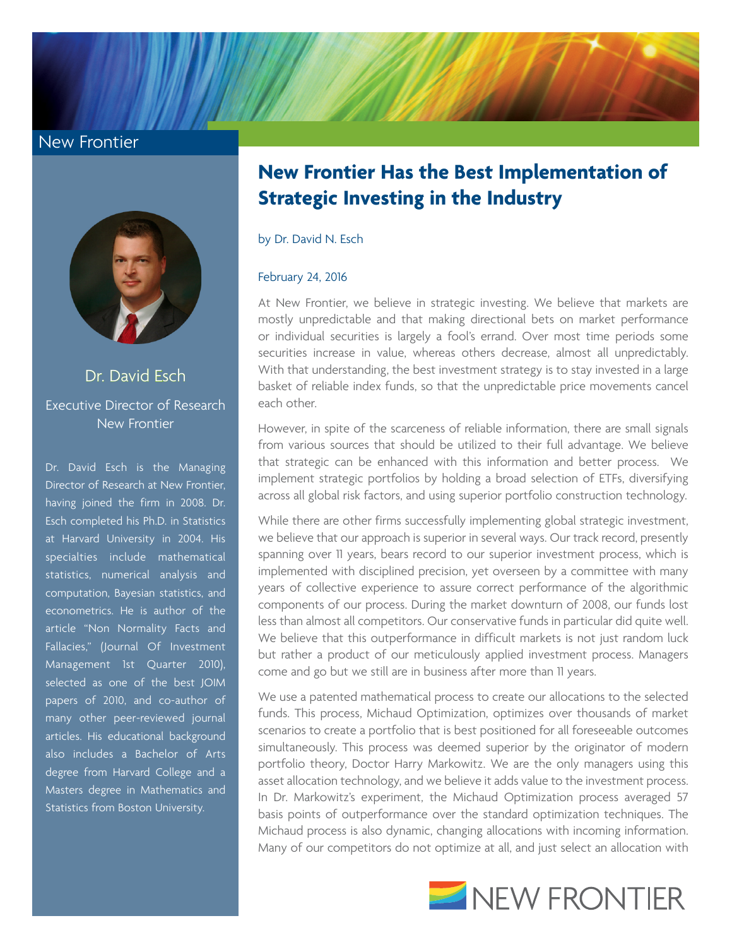### New Frontier



## Dr. David Esch Executive Director of Research New Frontier

Dr. David Esch is the Managing Director of Research at New Frontier, having joined the firm in 2008. Dr. Esch completed his Ph.D. in Statistics at Harvard University in 2004. His specialties include mathematical statistics, numerical analysis and computation, Bayesian statistics, and econometrics. He is author of the article "Non Normality Facts and Fallacies," (Journal Of Investment Management 1st Quarter 2010), selected as one of the best JOIM papers of 2010, and co-author of many other peer-reviewed journal articles. His educational background also includes a Bachelor of Arts degree from Harvard College and a Masters degree in Mathematics and Statistics from Boston University.

# **New Frontier Has the Best Implementation of Strategic Investing in the Industry**

by Dr. David N. Esch

#### February 24, 2016

At New Frontier, we believe in strategic investing. We believe that markets are mostly unpredictable and that making directional bets on market performance or individual securities is largely a fool's errand. Over most time periods some securities increase in value, whereas others decrease, almost all unpredictably. With that understanding, the best investment strategy is to stay invested in a large basket of reliable index funds, so that the unpredictable price movements cancel each other.

However, in spite of the scarceness of reliable information, there are small signals from various sources that should be utilized to their full advantage. We believe that strategic can be enhanced with this information and better process. We implement strategic portfolios by holding a broad selection of ETFs, diversifying across all global risk factors, and using superior portfolio construction technology.

While there are other firms successfully implementing global strategic investment, we believe that our approach is superior in several ways. Our track record, presently spanning over 11 years, bears record to our superior investment process, which is implemented with disciplined precision, yet overseen by a committee with many years of collective experience to assure correct performance of the algorithmic components of our process. During the market downturn of 2008, our funds lost less than almost all competitors. Our conservative funds in particular did quite well. We believe that this outperformance in difficult markets is not just random luck but rather a product of our meticulously applied investment process. Managers come and go but we still are in business after more than 11 years.

We use a patented mathematical process to create our allocations to the selected funds. This process, Michaud Optimization, optimizes over thousands of market scenarios to create a portfolio that is best positioned for all foreseeable outcomes simultaneously. This process was deemed superior by the originator of modern portfolio theory, Doctor Harry Markowitz. We are the only managers using this asset allocation technology, and we believe it adds value to the investment process. In Dr. Markowitz's experiment, the Michaud Optimization process averaged 57 basis points of outperformance over the standard optimization techniques. The Michaud process is also dynamic, changing allocations with incoming information. Many of our competitors do not optimize at all, and just select an allocation with

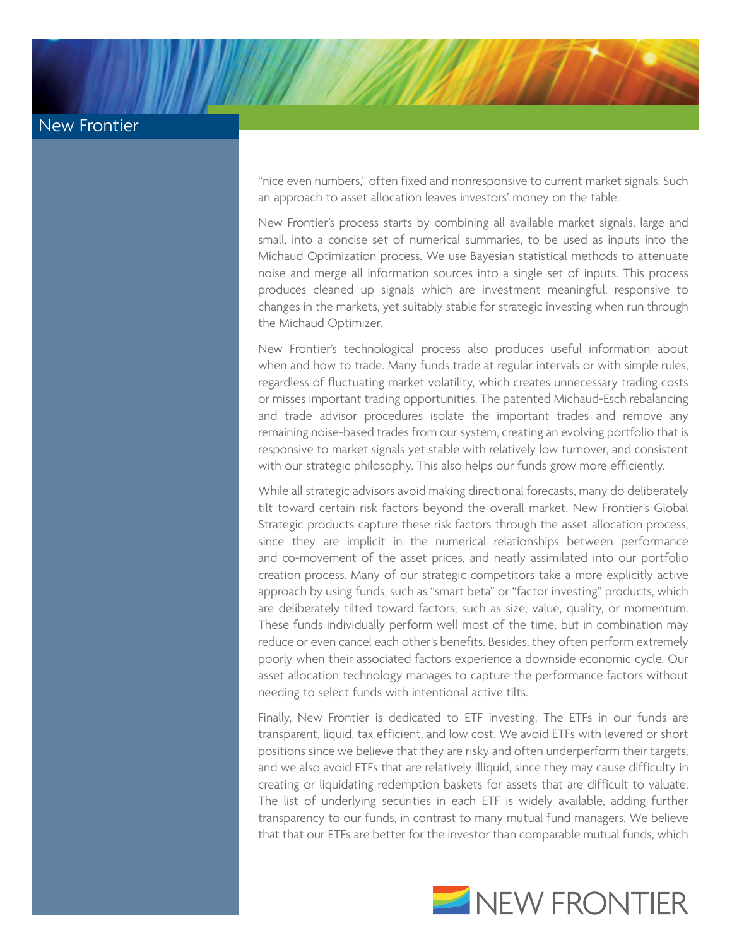## New Frontier

"nice even numbers," often fixed and nonresponsive to current market signals. Such an approach to asset allocation leaves investors' money on the table.

New Frontier's process starts by combining all available market signals, large and small, into a concise set of numerical summaries, to be used as inputs into the Michaud Optimization process. We use Bayesian statistical methods to attenuate noise and merge all information sources into a single set of inputs. This process produces cleaned up signals which are investment meaningful, responsive to changes in the markets, yet suitably stable for strategic investing when run through the Michaud Optimizer.

New Frontier's technological process also produces useful information about when and how to trade. Many funds trade at regular intervals or with simple rules, regardless of fluctuating market volatility, which creates unnecessary trading costs or misses important trading opportunities. The patented Michaud-Esch rebalancing and trade advisor procedures isolate the important trades and remove any remaining noise-based trades from our system, creating an evolving portfolio that is responsive to market signals yet stable with relatively low turnover, and consistent with our strategic philosophy. This also helps our funds grow more efficiently.

While all strategic advisors avoid making directional forecasts, many do deliberately tilt toward certain risk factors beyond the overall market. New Frontier's Global Strategic products capture these risk factors through the asset allocation process, since they are implicit in the numerical relationships between performance and co-movement of the asset prices, and neatly assimilated into our portfolio creation process. Many of our strategic competitors take a more explicitly active approach by using funds, such as "smart beta" or "factor investing" products, which are deliberately tilted toward factors, such as size, value, quality, or momentum. These funds individually perform well most of the time, but in combination may reduce or even cancel each other's benefits. Besides, they often perform extremely poorly when their associated factors experience a downside economic cycle. Our asset allocation technology manages to capture the performance factors without needing to select funds with intentional active tilts.

Finally, New Frontier is dedicated to ETF investing. The ETFs in our funds are transparent, liquid, tax efficient, and low cost. We avoid ETFs with levered or short positions since we believe that they are risky and often underperform their targets, and we also avoid ETFs that are relatively illiquid, since they may cause difficulty in creating or liquidating redemption baskets for assets that are difficult to valuate. The list of underlying securities in each ETF is widely available, adding further transparency to our funds, in contrast to many mutual fund managers. We believe that that our ETFs are better for the investor than comparable mutual funds, which